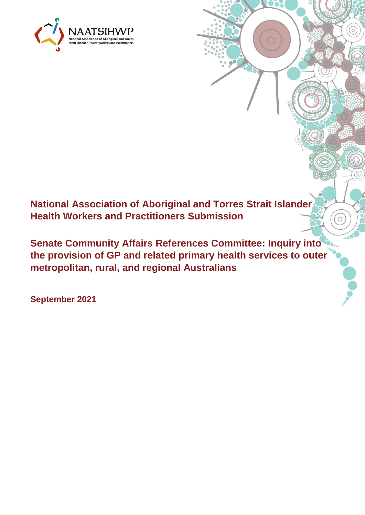

**National Association of Aboriginal and Torres Strait Islander Health Workers and Practitioners Submission** 

**Senate Community Affairs References Committee: Inquiry into the provision of GP and related primary health services to outer metropolitan, rural, and regional Australians**

 $\Omega$ 

**September 2021**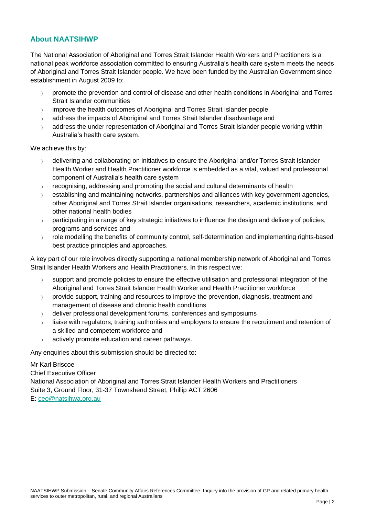## **About NAATSIHWP**

The National Association of Aboriginal and Torres Strait Islander Health Workers and Practitioners is a national peak workforce association committed to ensuring Australia's health care system meets the needs of Aboriginal and Torres Strait Islander people. We have been funded by the Australian Government since establishment in August 2009 to:

- promote the prevention and control of disease and other health conditions in Aboriginal and Torres Strait Islander communities
- improve the health outcomes of Aboriginal and Torres Strait Islander people
- address the impacts of Aboriginal and Torres Strait Islander disadvantage and
- address the under representation of Aboriginal and Torres Strait Islander people working within Australia's health care system.

We achieve this by:

- $\rightarrow$  delivering and collaborating on initiatives to ensure the Aboriginal and/or Torres Strait Islander Health Worker and Health Practitioner workforce is embedded as a vital, valued and professional component of Australia's health care system
- $\gamma$  recognising, addressing and promoting the social and cultural determinants of health
- $\rightarrow$  establishing and maintaining networks, partnerships and alliances with key government agencies, other Aboriginal and Torres Strait Islander organisations, researchers, academic institutions, and other national health bodies
- participating in a range of key strategic initiatives to influence the design and delivery of policies, programs and services and
- > role modelling the benefits of community control, self-determination and implementing rights-based best practice principles and approaches.

A key part of our role involves directly supporting a national membership network of Aboriginal and Torres Strait Islander Health Workers and Health Practitioners. In this respect we:

- $\gamma$  support and promote policies to ensure the effective utilisation and professional integration of the Aboriginal and Torres Strait Islander Health Worker and Health Practitioner workforce
- $\gamma$  provide support, training and resources to improve the prevention, diagnosis, treatment and management of disease and chronic health conditions
- $\angle$  deliver professional development forums, conferences and symposiums
- liaise with regulators, training authorities and employers to ensure the recruitment and retention of a skilled and competent workforce and
- $\alpha$  actively promote education and career pathways.

Any enquiries about this submission should be directed to:

Mr Karl Briscoe Chief Executive Officer National Association of Aboriginal and Torres Strait Islander Health Workers and Practitioners Suite 3, Ground Floor, 31-37 Townshend Street, Phillip ACT 2606 E: [ceo@natsihwa.org.au](mailto:ceo@natsihwa.org.au)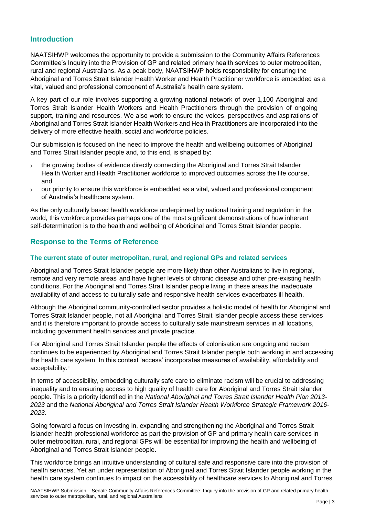## **Introduction**

NAATSIHWP welcomes the opportunity to provide a submission to the Community Affairs References Committee's Inquiry into the Provision of GP and related primary health services to outer metropolitan, rural and regional Australians. As a peak body, NAATSIHWP holds responsibility for ensuring the Aboriginal and Torres Strait Islander Health Worker and Health Practitioner workforce is embedded as a vital, valued and professional component of Australia's health care system.

A key part of our role involves supporting a growing national network of over 1,100 Aboriginal and Torres Strait Islander Health Workers and Health Practitioners through the provision of ongoing support, training and resources. We also work to ensure the voices, perspectives and aspirations of Aboriginal and Torres Strait Islander Health Workers and Health Practitioners are incorporated into the delivery of more effective health, social and workforce policies.

Our submission is focused on the need to improve the health and wellbeing outcomes of Aboriginal and Torres Strait Islander people and, to this end, is shaped by:

- the growing bodies of evidence directly connecting the Aboriginal and Torres Strait Islander Health Worker and Health Practitioner workforce to improved outcomes across the life course, and
- our priority to ensure this workforce is embedded as a vital, valued and professional component of Australia's healthcare system.

As the only culturally based health workforce underpinned by national training and regulation in the world, this workforce provides perhaps one of the most significant demonstrations of how inherent self-determination is to the health and wellbeing of Aboriginal and Torres Strait Islander people.

# **Response to the Terms of Reference**

### **The current state of outer metropolitan, rural, and regional GPs and related services**

Aboriginal and Torres Strait Islander people are more likely than other Australians to live in regional, remote and very remote areas<sup>i</sup> and have higher levels of chronic disease and other pre-existing health conditions. For the Aboriginal and Torres Strait Islander people living in these areas the inadequate availability of and access to culturally safe and responsive health services exacerbates ill health.

Although the Aboriginal community-controlled sector provides a holistic model of health for Aboriginal and Torres Strait Islander people, not all Aboriginal and Torres Strait Islander people access these services and it is therefore important to provide access to culturally safe mainstream services in all locations, including government health services and private practice.

For Aboriginal and Torres Strait Islander people the effects of colonisation are ongoing and racism continues to be experienced by Aboriginal and Torres Strait Islander people both working in and accessing the health care system. In this context 'access' incorporates measures of availability, affordability and acceptability.<sup>ii</sup>

In terms of accessibility, embedding culturally safe care to eliminate racism will be crucial to addressing inequality and to ensuring access to high quality of health care for Aboriginal and Torres Strait Islander people. This is a priority identified in the *National Aboriginal and Torres Strait Islander Health Plan 2013- 2023* and the *National Aboriginal and Torres Strait Islander Health Workforce Strategic Framework 2016- 2023*.

Going forward a focus on investing in, expanding and strengthening the Aboriginal and Torres Strait Islander health professional workforce as part the provision of GP and primary health care services in outer metropolitan, rural, and regional GPs will be essential for improving the health and wellbeing of Aboriginal and Torres Strait Islander people.

This workforce brings an intuitive understanding of cultural safe and responsive care into the provision of health services. Yet an under representation of Aboriginal and Torres Strait Islander people working in the health care system continues to impact on the accessibility of healthcare services to Aboriginal and Torres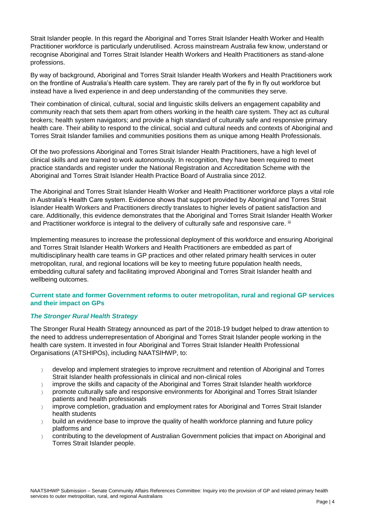Strait Islander people. In this regard the Aboriginal and Torres Strait Islander Health Worker and Health Practitioner workforce is particularly underutilised. Across mainstream Australia few know, understand or recognise Aboriginal and Torres Strait Islander Health Workers and Health Practitioners as stand-alone professions.

By way of background, Aboriginal and Torres Strait Islander Health Workers and Health Practitioners work on the frontline of Australia's Health care system. They are rarely part of the fly in fly out workforce but instead have a lived experience in and deep understanding of the communities they serve.

Their combination of clinical, cultural, social and linguistic skills delivers an engagement capability and community reach that sets them apart from others working in the health care system. They act as cultural brokers; health system navigators; and provide a high standard of culturally safe and responsive primary health care. Their ability to respond to the clinical, social and cultural needs and contexts of Aboriginal and Torres Strait Islander families and communities positions them as unique among Health Professionals.

Of the two professions Aboriginal and Torres Strait Islander Health Practitioners, have a high level of clinical skills and are trained to work autonomously. In recognition, they have been required to meet practice standards and register under the National Registration and Accreditation Scheme with the Aboriginal and Torres Strait Islander Health Practice Board of Australia since 2012.

The Aboriginal and Torres Strait Islander Health Worker and Health Practitioner workforce plays a vital role in Australia's Health Care system. Evidence shows that support provided by Aboriginal and Torres Strait Islander Health Workers and Practitioners directly translates to higher levels of patient satisfaction and care. Additionally, this evidence demonstrates that the Aboriginal and Torres Strait Islander Health Worker and Practitioner workforce is integral to the delivery of culturally safe and responsive care. <sup>iii</sup>

Implementing measures to increase the professional deployment of this workforce and ensuring Aboriginal and Torres Strait Islander Health Workers and Health Practitioners are embedded as part of multidisciplinary health care teams in GP practices and other related primary health services in outer metropolitan, rural, and regional locations will be key to meeting future population health needs, embedding cultural safety and facilitating improved Aboriginal and Torres Strait Islander health and wellbeing outcomes.

### **Current state and former Government reforms to outer metropolitan, rural and regional GP services and their impact on GPs**

### *The Stronger Rural Health Strategy*

The Stronger Rural Health Strategy announced as part of the 2018-19 budget helped to draw attention to the need to address underrepresentation of Aboriginal and Torres Strait Islander people working in the health care system. It invested in four Aboriginal and Torres Strait Islander Health Professional Organisations (ATSHIPOs), including NAATSIHWP, to:

- $\rightarrow$  develop and implement strategies to improve recruitment and retention of Aboriginal and Torres Strait Islander health professionals in clinical and non-clinical roles
- $\rightarrow$  improve the skills and capacity of the Aboriginal and Torres Strait Islander health workforce
- promote culturally safe and responsive environments for Aboriginal and Torres Strait Islander patients and health professionals
- $\rightarrow$  improve completion, graduation and employment rates for Aboriginal and Torres Strait Islander health students
- build an evidence base to improve the quality of health workforce planning and future policy platforms and
- $\rightarrow$  contributing to the development of Australian Government policies that impact on Aboriginal and Torres Strait Islander people.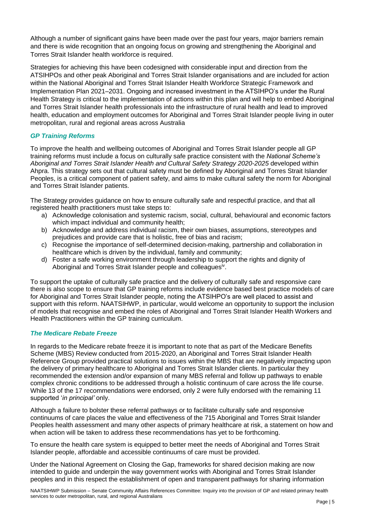Although a number of significant gains have been made over the past four years, major barriers remain and there is wide recognition that an ongoing focus on growing and strengthening the Aboriginal and Torres Strait Islander health workforce is required.

Strategies for achieving this have been codesigned with considerable input and direction from the ATSIHPOs and other peak Aboriginal and Torres Strait Islander organisations and are included for action within the National Aboriginal and Torres Strait Islander Health Workforce Strategic Framework and Implementation Plan 2021–2031. Ongoing and increased investment in the ATSIHPO's under the Rural Health Strategy is critical to the implementation of actions within this plan and will help to embed Aboriginal and Torres Strait Islander health professionals into the infrastructure of rural health and lead to improved health, education and employment outcomes for Aboriginal and Torres Strait Islander people living in outer metropolitan, rural and regional areas across Australia

### *GP Training Reforms*

To improve the health and wellbeing outcomes of Aboriginal and Torres Strait Islander people all GP training reforms must include a focus on culturally safe practice consistent with the *National Scheme's Aboriginal and Torres Strait Islander Health and Cultural Safety Strategy 2020-2025* developed within Ahpra. This strategy sets out that cultural safety must be defined by Aboriginal and Torres Strait Islander Peoples, is a critical component of patient safety, and aims to make cultural safety the norm for Aboriginal and Torres Strait Islander patients.

The Strategy provides guidance on how to ensure culturally safe and respectful practice, and that all registered health practitioners must take steps to:

- a) Acknowledge colonisation and systemic racism, social, cultural, behavioural and economic factors which impact individual and community health;
- b) Acknowledge and address individual racism, their own biases, assumptions, stereotypes and prejudices and provide care that is holistic, free of bias and racism;
- c) Recognise the importance of self-determined decision-making, partnership and collaboration in healthcare which is driven by the individual, family and community;
- d) Foster a safe working environment through leadership to support the rights and dignity of Aboriginal and Torres Strait Islander people and colleagues<sup>iv</sup>.

To support the uptake of culturally safe practice and the delivery of culturally safe and responsive care there is also scope to ensure that GP training reforms include evidence based best practice models of care for Aboriginal and Torres Strait Islander people, noting the ATSIHPO's are well placed to assist and support with this reform. NAATSIHWP, in particular, would welcome an opportunity to support the inclusion of models that recognise and embed the roles of Aboriginal and Torres Strait Islander Health Workers and Health Practitioners within the GP training curriculum.

### *The Medicare Rebate Freeze*

In regards to the Medicare rebate freeze it is important to note that as part of the Medicare Benefits Scheme (MBS) Review conducted from 2015-2020, an Aboriginal and Torres Strait Islander Health Reference Group provided practical solutions to issues within the MBS that are negatively impacting upon the delivery of primary healthcare to Aboriginal and Torres Strait Islander clients. In particular they recommended the extension and/or expansion of many MBS referral and follow up pathways to enable complex chronic conditions to be addressed through a holistic continuum of care across the life course. While 13 of the 17 recommendations were endorsed, only 2 were fully endorsed with the remaining 11 supported '*in principal'* only.

Although a failure to bolster these referral pathways or to facilitate culturally safe and responsive continuums of care places the value and effectiveness of the 715 Aboriginal and Torres Strait Islander Peoples health assessment and many other aspects of primary healthcare at risk, a statement on how and when action will be taken to address these recommendations has yet to be forthcoming.

To ensure the health care system is equipped to better meet the needs of Aboriginal and Torres Strait Islander people, affordable and accessible continuums of care must be provided.

Under the National Agreement on Closing the Gap, frameworks for shared decision making are now intended to guide and underpin the way government works with Aboriginal and Torres Strait Islander peoples and in this respect the establishment of open and transparent pathways for sharing information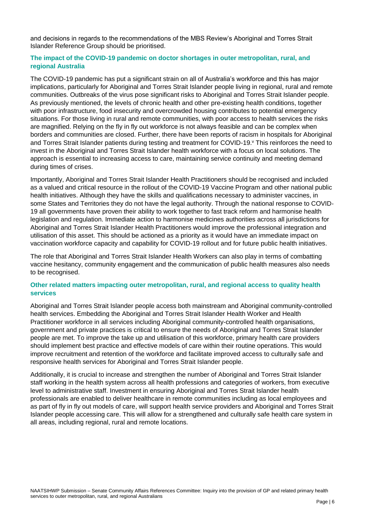and decisions in regards to the recommendations of the MBS Review's Aboriginal and Torres Strait Islander Reference Group should be prioritised.

#### **The impact of the COVID-19 pandemic on doctor shortages in outer metropolitan, rural, and regional Australia**

The COVID-19 pandemic has put a significant strain on all of Australia's workforce and this has major implications, particularly for Aboriginal and Torres Strait Islander people living in regional, rural and remote communities. Outbreaks of the virus pose significant risks to Aboriginal and Torres Strait Islander people. As previously mentioned, the levels of chronic health and other pre-existing health conditions, together with poor infrastructure, food insecurity and overcrowded housing contributes to potential emergency situations. For those living in rural and remote communities, with poor access to health services the risks are magnified. Relying on the fly in fly out workforce is not always feasible and can be complex when borders and communities are closed. Further, there have been reports of racism in hospitals for Aboriginal and Torres Strait Islander patients during testing and treatment for COVID-19. This reinforces the need to invest in the Aboriginal and Torres Strait Islander health workforce with a focus on local solutions. The approach is essential to increasing access to care, maintaining service continuity and meeting demand during times of crises.

Importantly, Aboriginal and Torres Strait Islander Health Practitioners should be recognised and included as a valued and critical resource in the rollout of the COVID-19 Vaccine Program and other national public health initiatives. Although they have the skills and qualifications necessary to administer vaccines, in some States and Territories they do not have the legal authority. Through the national response to COVID-19 all governments have proven their ability to work together to fast track reform and harmonise health legislation and regulation. Immediate action to harmonise medicines authorities across all jurisdictions for Aboriginal and Torres Strait Islander Health Practitioners would improve the professional integration and utilisation of this asset. This should be actioned as a priority as it would have an immediate impact on vaccination workforce capacity and capability for COVID-19 rollout and for future public health initiatives.

The role that Aboriginal and Torres Strait Islander Health Workers can also play in terms of combatting vaccine hesitancy, community engagement and the communication of public health measures also needs to be recognised.

#### **Other related matters impacting outer metropolitan, rural, and regional access to quality health services**

Aboriginal and Torres Strait Islander people access both mainstream and Aboriginal community-controlled health services. Embedding the Aboriginal and Torres Strait Islander Health Worker and Health Practitioner workforce in all services including Aboriginal community-controlled health organisations, government and private practices is critical to ensure the needs of Aboriginal and Torres Strait Islander people are met. To improve the take up and utilisation of this workforce, primary health care providers should implement best practice and effective models of care within their routine operations. This would improve recruitment and retention of the workforce and facilitate improved access to culturally safe and responsive health services for Aboriginal and Torres Strait Islander people.

Additionally, it is crucial to increase and strengthen the number of Aboriginal and Torres Strait Islander staff working in the health system across all health professions and categories of workers, from executive level to administrative staff. Investment in ensuring Aboriginal and Torres Strait Islander health professionals are enabled to deliver healthcare in remote communities including as local employees and as part of fly in fly out models of care, will support health service providers and Aboriginal and Torres Strait Islander people accessing care. This will allow for a strengthened and culturally safe health care system in all areas, including regional, rural and remote locations.